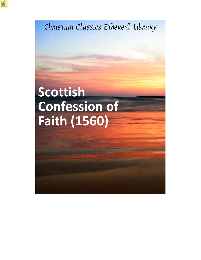Christian Classics Ethereal Library

# Scottish **Confession of Faith (1560)**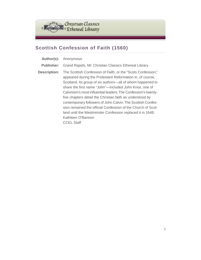

## **Scottish Confession of Faith (1560)**

**Author(s):** Anonymous **Publisher:** Grand Rapids, MI: Christian Classics Ethereal Library **Description:** The Scottish Confession of Faith, or the "Scots Confession," appeared during the Protestant Reformation in, of course, Scotland. Its group of six authors—all of whom happened to share the first name "John"—included John Knox, one of Calvinism's most influential leaders.The Confession's twentyfive chapters detail the Christian faith as understood by contemporary followers of John Calvin.The Scottish Confession remained the official Confession of the Church of Scotland until the Westminster Confession replaced it in 1648. Kathleen O'Bannon CCEL Staff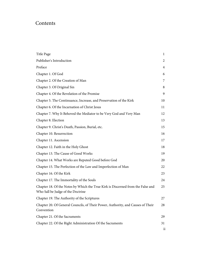## **Contents**

| Title Page                                                                                                           | 1               |
|----------------------------------------------------------------------------------------------------------------------|-----------------|
| Publisher's Introduction                                                                                             | 2               |
| Preface                                                                                                              | 4               |
| Chapter 1. Of God                                                                                                    | 6               |
| Chapter 2. Of the Creation of Man                                                                                    | 7               |
| Chapter 3. Of Original Sin                                                                                           | 8               |
| Chapter 4. Of the Revelation of the Promise                                                                          | 9               |
| Chapter 5. The Continuance, Increase, and Preservation of the Kirk                                                   | 10              |
| Chapter 6. Of the Incarnation of Christ Jesus                                                                        | 11              |
| Chapter 7. Why It Behoved the Mediator to be Very God and Very Man                                                   | 12              |
| Chapter 8. Election                                                                                                  | 13              |
| Chapter 9. Christ's Death, Passion, Burial, etc.                                                                     | 15              |
| Chapter 10. Resurrection                                                                                             | 16              |
| Chapter 11. Ascension                                                                                                | 17              |
| Chapter 12. Faith in the Holy Ghost                                                                                  | 18              |
| Chapter 13. The Cause of Good Works                                                                                  | 19              |
| Chapter 14. What Works are Reputed Good before God                                                                   | 20              |
| Chapter 15. The Perfection of the Law and Imperfection of Man                                                        | 22              |
| Chapter 16. Of the Kirk                                                                                              | 23              |
| Chapter 17. The Immortality of the Souls                                                                             | 24              |
| Chapter 18. Of the Notes by Which the True Kirk is Discerned from the False and<br>Who Sall be Judge of the Doctrine | 25              |
| Chapter 19. The Authority of the Scriptures                                                                          | 27              |
| Chapter 20. Of General Councils, of Their Power, Authority, and Causes of Their<br>Convention                        | 28              |
| Chapter 21. Of the Sacraments                                                                                        | 29              |
| Chapter 22. Of the Right Administration Of the Sacraments                                                            | 31              |
|                                                                                                                      | $\overline{11}$ |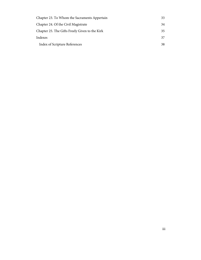| Chapter 23. To Whom the Sacraments Appertain   | 33 |
|------------------------------------------------|----|
| Chapter 24. Of the Civil Magistrate            | 34 |
| Chapter 25. The Gifts Freely Given to the Kirk | 35 |
| Indexes                                        | 37 |
| <b>Index of Scripture References</b>           | 38 |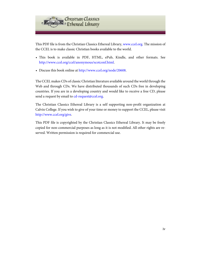

This PDF file is from the Christian Classics Ethereal Library, [www.ccel.org.](http://www.ccel.org) The mission of the CCEL is to make classic Christian books available to the world.

- This book is available in PDF, HTML, ePub, Kindle, and other formats. See [http://www.ccel.org/ccel/anonymous/scotconf.html.](http://www.ccel.org/ccel/anonymous/scotconf.html)
- Discuss this book online at [http://www.ccel.org/node/20608.](http://www.ccel.org/node/20608)

The CCEL makes CDs of classic Christian literature available around the world through the Web and through CDs. We have distributed thousands of such CDs free in developing countries. If you are in a developing country and would like to receive a free CD, please send a request by email to [cd-request@ccel.org.](mailto:cd-request@ccel.org)

The Christian Classics Ethereal Library is a self supporting non-profit organization at Calvin College. If you wish to give of your time or money to support the CCEL, please visit [http://www.ccel.org/give.](http://www.ccel.org/give)

This PDF file is copyrighted by the Christian Classics Ethereal Library. It may be freely copied for non-commercial purposes as long as it is not modified. All other rights are reserved. Written permission is required for commercial use.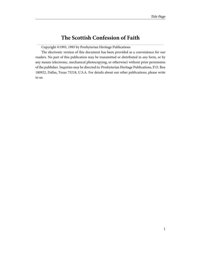## **The Scottish Confession of Faith**

<span id="page-5-0"></span>Copyright ©1993, 1995 by Presbyterian Heritage Publications

The electronic version of this document has been provided as a convenience for our readers. No part of this publication may be transmitted or distributed in any form, or by any means (electronic, mechanical photocopying, or otherwise) without prior permission of the publisher. Inquiries may be directed to: Presbyterian Heritage Publications, P.O. Box 180922, Dallas, Texas 75218, U.S.A. For details about our other publications, please write to us.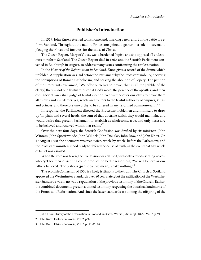#### **Publisher's Introduction**

<span id="page-6-0"></span>In 1559, John Knox returned to his homeland, marking a new effort in the battle to reform Scotland. Throughout the nation, Protestants joined together in a solemn covenant, pledging their lives and fortunes for the cause of Christ.

The Queen Regent, Mary of Guise, was a hardened Papist, and she opposed all endeavours to reform Scotland. The Queen Regent died in 1560, and the Scottish Parliament convened in Edinburgh in August, to address many issues confronting the restless nation.

In the History of the Reformation in Scotland, Knox gives a record of the drama which unfolded. A supplication was laid before the Parliament by the Protestant nobility, decrying the corruptions of Roman Catholicism, and seeking the abolition of Popery. The petition of the Protestants exclaimed, "We offer ourselves to prove, that in all the [rabble of the clergy] there is not one lawful minister, if God's word, the practice of the apostles, and their own ancient laws shall judge of lawful election. We further offer ourselves to prove them all thieves and murderers: yea, rebels and traitors to the lawful authority of empires, kings, and princes; and therefore unworthy to be suffered in any reformed commonwealth.<sup>"1</sup>

In response, the Parliament directed the Protestant noblemen and ministers to draw up "in plain and several heads, the sum of that doctrine which they would maintain, and would desire that present Parliament to establish as wholesome, true, and only necessary to be believed and received within that realm."<sup>2</sup>

Over the next four days, the Scottish Confession was drafted by six ministers: John Winram, John Spottiswoode, John Willock, John Douglas, John Row, and John Knox. On 17 August 1560, the document was read twice, article by article, before the Parliament; and the Protestant ministers stood ready to defend the cause of truth, in the event that any article of belief was assailed.

When the vote was taken, the Confession was ratified, with only a few dissenting voices, who "yet for their dissenting could produce no better reason but, 'We will believe as our fathers believed.' The bishops (papistical, we mean), spake nothing."<sup>3</sup>

The Scottish Confession of 1560 is a lively testimony to the truth. The Church of Scotland approved the Westminster Standards over 80 years later; but the ratification of the Westminster Standards was in no way a repudiation of the previous testimony of the Church. Rather, the combined documents present a united testimony respecting the doctrinal landmarks of the Protes tant Reformation. And since the latter standards are among the offspring of the

<sup>1</sup> John Knox, History of the Reformation in Scotland, in Knox's Works (Edinburgh, 1895), Vol. 2, p. 91.

<sup>2</sup> John Knox, History, in Works, Vol. 2, p.92.

<sup>3</sup> John Knox, History, in Works, Vol. 2, p.121-22, 28.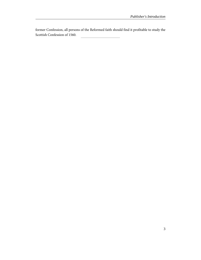former Confession, all persons of the Reformed faith should find it profitable to study the Scottish Confession of 1560.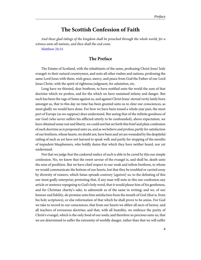## **The Scottish Confession of Faith**

<span id="page-8-1"></span><span id="page-8-0"></span>And these glad tidings of the kingdom shall be preached through the whole world, for a witness unto all nations, and then shall the end come.

[Matthew 24:14](http://www.ccel.org/study/Bible:Matt.24.14)

#### **The Preface**

The Estates of Scotland, with the inhabitants of the same, professing Christ Jesus' holy evangel: to their natural countrymen, and unto all other realms and nations, professing the same Lord Jesus with them, wish grace, mercy, and peace from God the Father of our Lord Jesus Christ, with the spirit of righteous judgment, for salutation, etc.

Long have we thirsted, dear brethren, to have notified unto the world the sum of that doctrine which we profess, and for the which we have sustained infamy and danger. But such has been the rage of Satan against us, and against Christ Jesus' eternal verity lately born amongst us, that to this day no time has been granted unto us to clear our consciences, as most gladly we would have done. For how we have been tossed a whole year past, the most part of Europe (as we suppose) does understand. But seeing that of the infinite goodness of our God (who never suffers his afflicted utterly to be confounded), above expectation, we have obtained some rest and liberty, we could not but set forth this brief and plain confession of such doctrine as is proponed unto us, and as we believe and profess; partly for satisfaction of our brethren, whose hearts, we doubt not, have been and yet are wounded by the despiteful railing of such as yet have not learned to speak well; and partly for stopping of the mouths of impudent blasphemers, who boldly damn that which they have neither heard, nor yet understand.

Not that we judge that the cankered malice of such is able to be cured by this our simple confession. No, we know that the sweet savour of the evangel is, and shall be, death unto the sons of perdition. But we have chief respect to our weak and infirm brethren, to whom we would communicate the bottom of our hearts, lest that they be troubled or carried away by diversity of rumors, which Satan spreads contrary [*against*] us, to the defeating of this our most godly enterprise; protesting that, if any man will note in this our confession any article or sentence repugning to God's holy word, that it would please him of his gentleness, and for Christian charity's sake, to admonish us of the same in writing; and we, of our honour and fidelity, do promise unto him satisfaction from the mouth of God (that is, from his holy scriptures), or else reformation of that which he shall prove to be amiss. For God we take to record in our consciences, that from our hearts we abhor all sects of heresy, and all teachers of erroneous doctrine; and that, with all humility, we embrace the purity of Christ's evangel, which is the only food of our souls; and therefore so precious unto us, that we are determined to suffer the extremity of worldly danger, rather than that we will suffer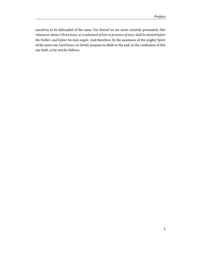ourselves to be defrauded of the same. For hereof we are most certainly persuaded, that whosoever denies Christ Jesus, or is ashamed of him in presence of men, shall be denied before the Father, and before his holy angels. And therefore, by the assistance of the mighty Spirit of the same our Lord Jesus, we firmly purpose to abide to the end, in the confession of this our faith, as by articles follows.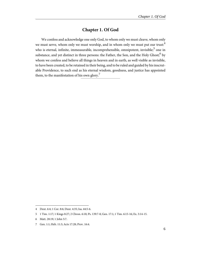## **Chapter 1. Of God**

<span id="page-10-0"></span>We confess and acknowledge one only God, to whom only we must cleave, whom only we must serve, whom only we must worship, and in whom only we must put our trust:<sup>4</sup> who is eternal, infinite, immeasurable, incomprehensible, omnipotent, invisible; $^5$  one in substance, and yet distinct in three persons: the Father, the Son, and the Holy Ghost; $^6$  by whom we confess and believe all things in heaven and in earth, as well visible as invisible, to have been created, to be retained in their being, and to be ruled and guided by his inscrutable Providence, to such end as his eternal wisdom, goodness, and justice has appointed them, to the manifestation of his own glory.<sup>7</sup>

<span id="page-10-4"></span><span id="page-10-3"></span><span id="page-10-2"></span><span id="page-10-1"></span><sup>4</sup> Deut. 6:4; 1 Cor. 8:6; Deut. 4:35; Isa. 44:5-6.

<sup>5</sup> 1 Tim. 1:17; 1 Kings 8:27; 2 Chron. 6:18; Ps. 139:7-8; Gen. 17:1; 1 Tim. 6:15-16; Ex. 3:14-15.

<sup>6</sup> Matt. 28:19; 1 John 5:7.

<sup>7</sup> Gen. 1:1; Heb. 11:3; Acts 17:28; Prov. 16:4.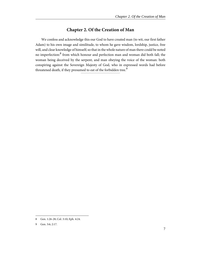## **Chapter 2. Of the Creation of Man**

<span id="page-11-0"></span>We confess and acknowledge this our God to have created man (to wit, our first father Adam) to his own image and similitude, to whom he gave wisdom, lordship, justice, free will, and clear knowledge of himself; so that in the whole nature of man there could be noted no imperfection:<sup>8</sup> from which honour and perfection man and woman did both fall; the woman being deceived by the serpent, and man obeying the voice of the woman: both conspiring against the Sovereign Majesty of God, who in expressed words had before threatened death, if they presumed to eat of the forbidden tree.<sup>9</sup>

<span id="page-11-2"></span><span id="page-11-1"></span><sup>8</sup> Gen. 1:26-28; Col. 3:10; Eph. 4:24.

<sup>9</sup> Gen. 3:6; 2:17.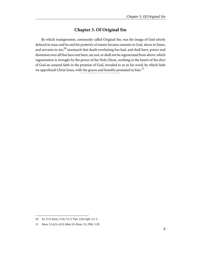## **Chapter 3. Of Original Sin**

<span id="page-12-0"></span>By which transgression, commonly called Original Sin, was the image of God utterly defaced in man; and he and his posterity of nature became enemies to God, slaves to Satan, and servants to sin;<sup>10</sup> insomuch that death everlasting has had, and shall have, power and dominion over all that have not been, are not, or shall not be regenerated from above: which regeneration is wrought by the power of the Holy Ghost, working in the hearts of the elect of God an assured faith in the promise of God, revealed to us in his word; by which faith we apprehend Christ Jesus, with the graces and benefits promised in him.<sup>11</sup>

<span id="page-12-2"></span><span id="page-12-1"></span><sup>10</sup> Ps. 51:5; Rom. 5:10; 7:5; 2 Tim. 2:26; Eph. 2:1-3.

<sup>11</sup> Rom. 5:14,21; 6:23; John 3:5; Rom. 5:1; Phil. 1:29.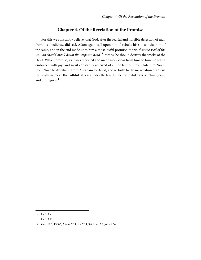## **Chapter 4. Of the Revelation of the Promise**

<span id="page-13-0"></span>For this we constantly believe: that God, after the fearful and horrible defection of man from his obedience, did seek Adam again, call upon  $\lim_{n \to \infty} 1^2$  rebuke his sin, convict him of the same, and in the end made unto him a most joyful promise: to wit, that the seed of the woman should break down the serpent's head<sup>13</sup> that is, he should destroy the works of the Devil. Which promise, as it was repeated and made more clear from time to time, so was it embraced with joy, and most constantly received of all the faithful, from Adam to Noah, from Noah to Abraham, from Abraham to David, and so forth to the incarnation of Christ Jesus: all (we mean the faithful fathers) under the law did see the joyful days of Christ Jesus, and did rejoice.<sup>14</sup>

<span id="page-13-3"></span><span id="page-13-2"></span><span id="page-13-1"></span><sup>12</sup> Gen. 3:9.

<sup>13</sup> Gen. 3:15.

<sup>14</sup> Gen. 12:3; 15:5-6; 2 Sam. 7:14; Isa. 7:14; 9:6; Hag. 2:6; John 8:56.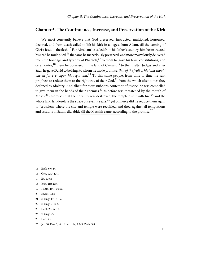## <span id="page-14-0"></span>**Chapter 5. The Continuance, Increase, and Preservation of the Kirk**

We most constantly believe that God preserved, instructed, multiplied, honoured, decored, and from death called to life his kirk in all ages, from Adam, till the coming of Christ Jesus in the flesh.<sup>15</sup> For Abraham he called from his father's country; him he instructed; his seed he multiplied;  $^{16}$  the same he marvelously preserved, and more marvelously delivered from the bondage and tyranny of Pharaoh;<sup>17</sup> to them he gave his laws, constitutions, and ceremonies;<sup>18</sup> them he possessed in the land of Canaan;<sup>19</sup> to them, after Judges and after Saul, he gave David to be king, to whom he made promise, that of the fruit of his loins should one sit for ever upon his regal seat.<sup>20</sup> To this same people, from time to time, he sent prophets to reduce them to the right way of their  $God<sub>1</sub><sup>21</sup>$  from the which often times they declined by idolatry. And albeit for their stubborn contempt of justice, he was compelled to give them in the hands of their enemies, $^{22}$  as before was threatened by the mouth of Moses,<sup>23</sup> insomuch that the holy city was destroyed, the temple burnt with fire,<sup>24</sup> and the whole land left desolate the space of seventy years;<sup>25</sup> yet of mercy did he reduce them again to Jerusalem, where the city and temple were reedified, and they, against all temptations and assaults of Satan, did abide till the Messiah came, according to the promise.<sup>26</sup>

- <span id="page-14-11"></span><span id="page-14-5"></span><span id="page-14-4"></span><span id="page-14-2"></span><span id="page-14-1"></span>15 Ezek. 6:6-14.
- <span id="page-14-6"></span>16 Gen. 12:1; 13:1.
- <span id="page-14-7"></span>17 Ex. 1, etc.
- <span id="page-14-8"></span>18 Josh. 1:3; 23:4.
- <span id="page-14-3"></span>19 1 Sam. 10:1; 16:13.
- <span id="page-14-9"></span>20 2 Sam. 7:12.
- <span id="page-14-12"></span><span id="page-14-10"></span>21 2 Kings 17:13-19.
- 22 2 Kings 24:3-4.
- 23 Deut. 28:36, 48.
- 24 2 Kings 25.
- 25 Dan. 9:2.
- 26 Jer. 30; Ezra 1, etc.; Hag. 1:14; 2:7-9; Zech. 3:8.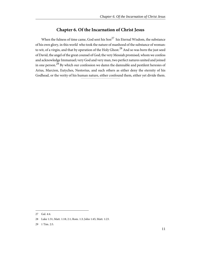## **Chapter 6. Of the Incarnation of Christ Jesus**

<span id="page-15-0"></span>When the fulness of time came, God sent his  $Son^{27}$  his Eternal Wisdom, the substance of his own glory, in this world who took the nature of manhood of the substance of woman: to wit, of a virgin, and that by operation of the Holy Ghost.<sup>28</sup> And so was born the just seed of David, the angel of the great counsel of God; the very Messiah promised, whom we confess and acknowledge Immanuel; very God and very man, two perfect natures united and joined in one person.<sup>29</sup> By which our confession we damn the damnable and pestilent heresies of Arius, Marcion, Eutyches, Nestorius, and such others as either deny the eternity of his Godhead, or the verity of his human nature, either confound them, either yet divide them.

<span id="page-15-3"></span><span id="page-15-2"></span><span id="page-15-1"></span><sup>27</sup> Gal. 4:4.

<sup>28</sup> Luke 1:31; Matt. 1:18; 2:1; Rom. 1:3; John 1:45; Matt. 1:23.

<sup>29</sup> 1 Tim. 2:5.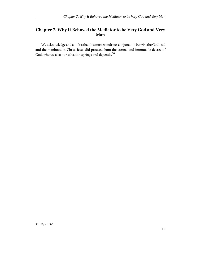## <span id="page-16-0"></span>**Chapter 7. Why It Behoved the Mediator to be Very God and Very Man**

We acknowledge and confess that this most wondrous conjunction betwixt the Godhead and the manhood in Christ Jesus did proceed from the eternal and immutable decree of God, whence also our salvation springs and depends.  $^{\rm 30}$ 

<span id="page-16-1"></span><sup>30</sup> Eph. 1:3-6.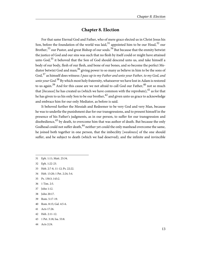## **Chapter 8. Election**

<span id="page-17-0"></span>For that same Eternal God and Father, who of mere grace elected us in Christ Jesus his Son, before the foundation of the world was laid,  $31$  appointed him to be our Head,  $32$  our Brother,<sup>33</sup> our Pastor, and great Bishop of our souls.<sup>34</sup> But because that the enmity betwixt the justice of God and our sins was such that no flesh by itself could or might have attained unto God,<sup>35</sup> it behoved that the Son of God should descend unto us, and take himself a body of our body, flesh of our flesh, and bone of our bones, and so become the perfect Mediator betwixt God and man;<sup>36</sup> giving power to so many as believe in him to be the sons of God,  $37$  as himself does witness: I pass up to my Father and unto your Father, to my God, and unto your God.<sup>38</sup> By which most holy fraternity, whatsoever we have lost in Adam is restored to us again.<sup>39</sup> And for this cause are we not afraid to call God our Father,<sup>40</sup> not so much that [because] he has created us (which we have common with the reprobate), $^{41}$  as for that he has given to us his only Son to be our brother,  $^{42}$  and given unto us grace to acknowledge and embrace him for our only Mediator, as before is said.

It behoved further the Messiah and Redeemer to be very God and very Man, because he was to underlie the punishment due for our transgressions, and to present himself in the presence of his Father's judgments, as in our person, to suffer for our transgression and disobedience,  $43$  by death, to overcome him that was author of death. But because the only Godhead could not suffer death,  $^{44}$  neither yet could the only manhead overcome the same, he joined both together in one person, that the imbecility [weakness] of the one should suffer, and be subject to death (which we had deserved), and the infinite and invincible

- <span id="page-17-6"></span>34 Heb. 13:20; 1 Pet. 2:24; 5:4.
- <span id="page-17-9"></span>35 Ps. 130:3; 143:2.
- <span id="page-17-10"></span>36 1 Tim. 2:5.
- <span id="page-17-8"></span>37 John 1:12.
- <span id="page-17-13"></span>38 John 20:17.
- <span id="page-17-7"></span><span id="page-17-3"></span>39 Rom. 5:17-19.
- 40 Rom. 8:15; Gal. 4:5-6.
- 41 Acts 17:26.
- 42 Heb. 2:11-12.
- 43 1 Pet. 3:18; Isa. 53:8.
- 44 Acts 2:24.

<span id="page-17-14"></span><span id="page-17-11"></span><span id="page-17-4"></span><span id="page-17-2"></span><span id="page-17-1"></span><sup>31</sup> Eph. 1:11; Matt. 25:34.

<span id="page-17-12"></span><sup>32</sup> Eph. 1:22-23.

<span id="page-17-5"></span><sup>33</sup> Heb. 2:7-8, 11-12; Ps. 22:22.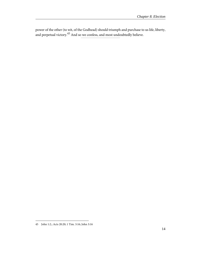power of the other (to wit, of the Godhead) should triumph and purchase to us life, liberty, and perpetual victory. $^{45}$  And so we confess, and most undoubtedly believe.

<span id="page-18-0"></span><sup>45</sup> John 1:2.; Acts 20:20; 1 Tim. 3:16; John 3:16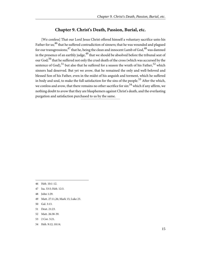#### **Chapter 9. Christ's Death, Passion, Burial, etc.**

<span id="page-19-0"></span>[We confess] That our Lord Jesus Christ offered himself a voluntary sacrifice unto his Father for us;<sup>46</sup> that he suffered contradiction of sinners; that he was wounded and plagued for our transgressions;<sup>47</sup> that he, being the clean and innocent Lamb of God,<sup>48</sup> was damned in the presence of an earthly judge,  $49$  that we should be absolved before the tribunal seat of our God;<sup>50</sup> that he suffered not only the cruel death of the cross (which was accursed by the sentence of God),<sup>51</sup> but also that he suffered for a season the wrath of his Father,<sup>52</sup> which sinners had deserved. But yet we avow, that he remained the only and well-beloved and blessed Son of his Father, even in the midst of his anguish and torment, which he suffered in body and soul, to make the full satisfaction for the sins of the people.<sup>53</sup> After the which, we confess and avow, that there remains no other sacrifice for  $\sin$ <sup>54</sup> which if any affirm, we nothing doubt to avow that they are blasphemers against Christ's death, and the everlasting purgation and satisfaction purchased to us by the same.

- <span id="page-19-6"></span>49 Matt. 27:11,26; Mark 15; Luke 23.
- <span id="page-19-8"></span>50 Gal. 3:13.
- 51 Deut. 21:23.
- 52 Matt. 26:38-39.
- 53 2 Cor. 5:21.
- 54 Heb. 9:12; 10:14.

<span id="page-19-9"></span><span id="page-19-7"></span><span id="page-19-5"></span><span id="page-19-4"></span><span id="page-19-2"></span><sup>46</sup> Heb. 10:1-12.

<span id="page-19-1"></span><sup>47</sup> Isa. 53:5; Heb. 12:3.

<span id="page-19-3"></span><sup>48</sup> John 1:29.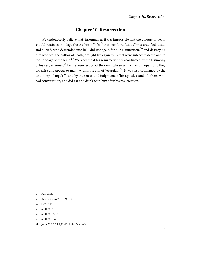## **Chapter 10. Resurrection**

<span id="page-20-0"></span>We undoubtedly believe that, insomuch as it was impossible that the dolours of death should retain in bondage the Author of life;<sup>55</sup> that our Lord Jesus Christ crucified, dead, and buried, who descended into hell, did rise again for our justification,<sup>56</sup> and destroying him who was the author of death, brought life again to us that were subject to death and to the bondage of the same.<sup>57</sup> We know that his resurrection was confirmed by the testimony of his very enemies;<sup>58</sup> by the resurrection of the dead, whose sepulchres did open, and they did arise and appear to many within the city of Jerusalem.<sup>59</sup> It was also confirmed by the testimony of angels, $60$  and by the senses and judgments of his apostles, and of others, who had conversation, and did eat and drink with him after his resurrection.<sup>61</sup>

- 59 Matt. 27:52-53.
- 60 Matt. 28:5-6.
- 61 John 20:27; 21:7,12-13; Luke 24:41-43.

<span id="page-20-7"></span><span id="page-20-6"></span><span id="page-20-5"></span><span id="page-20-2"></span><span id="page-20-1"></span><sup>55</sup> Acts 2:24.

<span id="page-20-3"></span><sup>56</sup> Acts 3:26; Rom. 6:5, 9; 4:25.

<span id="page-20-4"></span><sup>57</sup> Heb. 2:14-15.

<sup>58</sup> Matt. 28:4.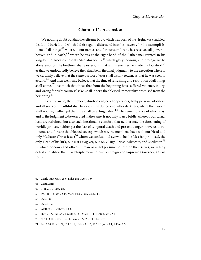## **Chapter 11. Ascension**

<span id="page-21-0"></span>We nothing doubt but that the selfsame body, which was born of the virgin, was crucified, dead, and buried, and which did rise again, did ascend into the heavens, for the accomplishment of all things;  $^{62}$  where, in our names, and for our comfort he has received all power in heaven and in earth,<sup>63</sup> where he sits at the right hand of the Father inaugurated in his kingdom, Advocate and only Mediator for us: $64$  which glory, honour, and prerogative he alone amongst the brethren shall possess, till that all his enemies be made his footstool,  $65$ as that we undoubtedly believe they shall be in the final judgment; to the execution whereof we certainly believe that the same our Lord Jesus shall visibly return, as that he was seen to ascend.<sup>66</sup> And then we firmly believe, that the time of refreshing and restitution of all things shall come,  $67$  insomuch that those that from the beginning have suffered violence, injury, and wrong for righteousness' sake, shall inherit that blessed immortality promised from the beginning.<sup>68</sup>

But contrariwise, the stubborn, disobedient, cruel oppressors, filthy persons, idolaters, and all sorts of unfaithful shall be cast in the dungeon of utter darkness, where their worm shall not die, neither yet their fire shall be extinguished.<sup>69</sup> The remembrance of which day, and of the judgment to be executed in the same, is not only to us a bridle, whereby our carnal lusts are refrained; but also such inestimable comfort, that neither may the threatening of worldly princes, neither yet the fear of temporal death and present danger, move us to renounce and forsake that blessed society, which we, the members, have with our Head and only Mediator Christ Jesus:<sup>70</sup> whom we confess and avow to be the Messiah promised, the only Head of his kirk, our just Lawgiver, our only High Priest, Advocate, and Mediator.<sup>71</sup> In which honours and offices, if man or angel presume to intrude themselves, we utterly detest and abhor them, as blasphemous to our Sovereign and Supreme Governor, Christ Jesus.

<span id="page-21-10"></span><span id="page-21-8"></span><span id="page-21-6"></span><span id="page-21-5"></span><span id="page-21-1"></span><sup>62</sup> Mark 16:9; Matt. 28:6; Luke 24:51; Acts 1:9.

<span id="page-21-9"></span><sup>63</sup> Matt. 28:18.

<span id="page-21-4"></span><sup>64</sup> 1 Jn. 2:1; 1 Tim. 2:5.

<span id="page-21-3"></span><sup>65</sup> Ps. 110:1; Matt. 22:44; Mark 12:36; Luke 20:42-43.

<span id="page-21-7"></span><span id="page-21-2"></span><sup>66</sup> Acts 1:8.

<sup>67</sup> Acts 3:19.

<sup>68</sup> Matt. 25:34. 2Thess. 1:4-8.

<sup>69</sup> Rev. 21:27; Isa. 66:24; Matt. 25:41; Mark 9:44, 46,48; Matt. 22:13.

<sup>70</sup> 2 Pet. 3:11; 2 Cor. 5:9-11; Luke 21:27-28; John 14:1,etc.

<sup>71</sup> Isa. 7:14; Eph. 1:22; Col. 1:18; Heb. 9:11,15; 10:21; 1 John 2:1; 1 Tim. 2:5.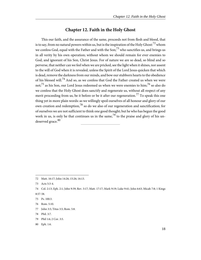#### **Chapter 12. Faith in the Holy Ghost**

<span id="page-22-0"></span>This our faith, and the assurance of the same, proceeds not from flesh and blood, that is to say, from no natural powers within us, but is the inspiration of the Holy Ghost: $^{72}$  whom we confess God, equal with the Father and with the Son;  $73$  who sanctifies us, and brings us in all verity by his own operation; without whom we should remain for ever enemies to God, and ignorant of his Son, Christ Jesus. For of nature we are so dead, so blind and so perverse, that neither can we feel when we are pricked, see the light when it shines, nor assent to the will of God when it is revealed, unless the Spirit of the Lord Jesus quicken that which is dead, remove the darkness from our minds, and bow our stubborn hearts to the obedience of his blessed will.<sup>74</sup> And so, as we confess that God the Father created us when we were not;<sup>75</sup> as his Son, our Lord Jesus redeemed us when we were enemies to him;<sup>76</sup> so also do we confess that the Holy Ghost does sanctify and regenerate us, without all respect of any merit proceeding from us, be it before or be it after our regeneration.<sup>77</sup> To speak this one thing yet in more plain words: as we willingly spoil ourselves of all honour and glory of our own creation and redemption,<sup>78</sup> so do we also of our regeneration and sanctification; for of ourselves we are not sufficient to think one good thought; but he who has begun the good work in us, is only he that continues us in the same,  $^{79}$  to the praise and glory of his undeserved grace.<sup>80</sup>

<span id="page-22-5"></span><span id="page-22-3"></span><span id="page-22-2"></span><span id="page-22-1"></span><sup>72</sup> Matt. 16:17; John 14:26; 15:26; 16:13.

<span id="page-22-6"></span><sup>73</sup> Acts 5:3-4.

<span id="page-22-9"></span><span id="page-22-4"></span><sup>74</sup> Col. 2:13; Eph. 2:1; John 9:39; Rev. 3:17; Matt. 17:17; Mark 9:19; Luke 9:41; John 6:63; Micah 7:8; 1 Kings 8:57-58.

<span id="page-22-8"></span><span id="page-22-7"></span><sup>75</sup> Ps. 100:3.

<sup>76</sup> Rom. 5:10.

<sup>77</sup> John 3:5; Titus 3:5; Rom. 5:8.

<sup>78</sup> Phil. 3:7.

<sup>79</sup> Phil 1:6; 2 Cor. 3:5.

<sup>80</sup> Eph. 1:6.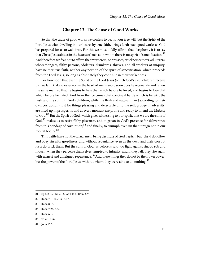#### **Chapter 13. The Cause of Good Works**

<span id="page-23-0"></span>So that the cause of good works we confess to be, not our free will, but the Spirit of the Lord Jesus who, dwelling in our hearts by true faith, brings forth such good works as God has prepared for us to walk into. For this we most boldly affirm, that blasphemy it is to say that Christ Jesus abides in the hearts of such as in whom there is no spirit of sanctification.<sup>81</sup> And therefore we fear not to affirm that murderers, oppressors, cruel persecutors, adulterers, whoremongers, filthy persons, idolaters, drunkards, thieves, and all workers of iniquity, have neither true faith, neither any portion of the spirit of sanctification, which proceeds from the Lord Jesus, so long as obstinately they continue in their wickedness.

For how soon that ever the Spirit of the Lord Jesus (which God's elect children receive by true faith) takes possession in the heart of any man, so soon does he regenerate and renew the same man; so that he begins to hate that which before he loved, and begins to love that which before he hated. And from thence comes that continual battle which is betwixt the flesh and the spirit in God's children; while the flesh and natural man (according to their own corruption) lust for things pleasing and delectable unto the self, grudge in adversity, are lifted up in prosperity, and at every moment are prone and ready to offend the Majesty of God.<sup>82</sup> But the Spirit of God, which gives witnessing to our spirit, that we are the sons of God,  $83$  makes us to resist filthy pleasures, and to groan in God's presence for deliverance from this bondage of corruption; $84$  and finally, to triumph over sin that it reign not in our mortal bodies<sup>85</sup>

This battle have not the carnal men, being destitute of God's Spirit; but [they] do follow and obey sin with greediness, and without repentance, even as the devil and their corrupt lusts do prick them. But the sons of God (as before is said) do fight against sin, do sob and mourn, when they perceive themselves tempted to iniquity; and if they fall, they rise again with earnest and unfeigned repentance.<sup>86</sup> And these things they do not by their own power, but the power of the Lord Jesus, without whom they were able to do nothing.<sup>87</sup>

- 86 2 Tim. 2:26.
- 87 John 15:5.

<span id="page-23-6"></span><span id="page-23-5"></span><span id="page-23-4"></span><span id="page-23-3"></span><span id="page-23-1"></span><sup>81</sup> Eph. 2:10; Phil 2:13; John 15:5; Rom. 8:9.

<span id="page-23-7"></span><span id="page-23-2"></span><sup>82</sup> Rom. 7:15-25; Gal. 5:17.

<sup>83</sup> Rom. 8:16.

<sup>84</sup> Rom. 7:24; 8:22.

<sup>85</sup> Rom. 6:12.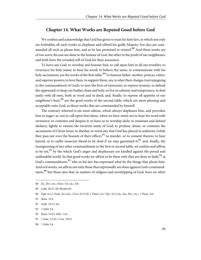#### **Chapter 14. What Works are Reputed Good before God**

<span id="page-24-0"></span>We confess and acknowledge that God has given to man his holy law, in which not only are forbidden all such works as displease and offend his godly Majesty, but also are commanded all such as please him, and as he has promised to reward.<sup>88</sup> And these works are of two sorts: the one are done to the honour of God, the other to the profit of our neighbours; and both have the revealed will of God for their assurance.

To have one God; to worship and honour him; to call upon him in all our troubles; to reverence his holy name; to hear his word; to believe the same; to communicate with his holy sacraments, are the works of the first table.<sup>89</sup> To honour father, mother, princes, rulers, and superior powers; to love them, to support them, yea, to obey their charges (not repugning to the commandment of God); to save the lives of innocents; to repress tyranny; to defend the oppressed; to keep our bodies clean and holy; to live in sobriety and temperance; to deal justly with all men, both in word and in deed; and, finally, to repress all appetite of our neighbour's hurt,  $90$  are the good works of the second table, which are most pleasing and acceptable unto God, as those works that are commanded by himself.

The contrary whereof is sin most odious, which always displeases him, and provokes him to anger: as, not to call upon him alone, when we have need; not to hear his word with reverence; to contemn and despise it; to have or to worship idols; to maintain and defend idolatry; lightly to esteem the reverent name of God; to profane, abuse, or contemn the sacraments of Christ Jesus; to disobey or resist any that God has placed in authority (while they pass not over the bounds of their office); $91$  to murder, or to consent thereto; to bear hatred, or to suffer innocent blood to be shed if we may gainstand it;  $92$  and, finally, the transgressing of any other commandment in the first or second table, we confess and affirm to be sin,<sup>93</sup> by the which God's anger and displeasure are kindled against the proud and unthankful world. So that good works we affirm to be these only that are done in faith,  $94$  at God's commandment,  $95$  who in his law has expressed what be the things that please him. And evil works, we affirm not only those that expressedly are done against God's commandment,<sup>96</sup> but those also that, in matters of religion and worshipping of God, have no other

94 Rom. 14:23; Heb. 11:6.

<span id="page-24-6"></span><span id="page-24-5"></span><span id="page-24-4"></span><span id="page-24-3"></span><span id="page-24-1"></span><sup>88</sup> Ex. 20:3, etc.; Deut. 5:6, etc.; 4:8.

<span id="page-24-8"></span><sup>89</sup> Luke 10:27-28; Micah 6:8.

<span id="page-24-7"></span><sup>90</sup> Eph. 6:1,7; Ezek. 22:1,etc.; 1Cor. 6:19-20; 1 Thess. 4:3-7;Jer. 22:3, etc.; Isa. 50:1, etc.; 1 Thess. 4:6.

<span id="page-24-2"></span><sup>91</sup> Rom. 13:2.

<span id="page-24-9"></span><sup>92</sup> Ezek. 22:13, etc.

<sup>93</sup> 1 John 3:4.

<sup>95</sup> 1 Sam. 15:22; 1 Cor. 10:31.

<sup>96</sup> 1 John 3:4.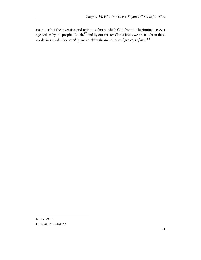assurance but the invention and opinion of man: which God from the beginning has ever rejected, as by the prophet Isaiah, $^{97}$  and by our master Christ Jesus, we are taught in these words: In vain do they worship me, teaching the doctrines and precepts of men.<sup>98</sup>

<span id="page-25-1"></span><span id="page-25-0"></span><sup>97</sup> Isa. 29:13.

<sup>98</sup> Matt. 15:9.; Mark 7:7.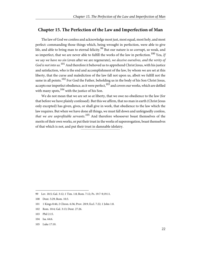#### <span id="page-26-0"></span>**Chapter 15. The Perfection of the Law and Imperfection of Man**

The law of God we confess and acknowledge most just, most equal, most holy, and most perfect: commanding those things which, being wrought in perfection, were able to give life, and able to bring man to eternal felicity.<sup>99</sup> But our nature is so corrupt, so weak, and so imperfect, that we are never able to fulfill the works of the law in perfection.<sup>100</sup> Yea, If we say we have no sin (even after we are regenerate), we deceive ourselves, and the verity of God is not into us.<sup>101</sup> And therefore it behoved us to apprehend Christ Jesus, with his justice and satisfaction, who is the end and accomplishment of the law, by whom we are set at this liberty, that the curse and malediction of the law fall not upon us, albeit we fulfill not the same in all points.<sup>102</sup> For God the Father, beholding us in the body of his Son Christ Jesus, accepts our imperfect obedience, as it were perfect,  $103$  and covers our works, which are defiled with many spots,  $104$  with the justice of his Son.

We do not mean that we are set so at liberty, that we owe no obedience to the law (for that before we have plainly confessed). But this we affirm, that no man in earth (Christ Jesus only excepted) has given, gives, or shall give in work, that obedience to the law which the law requires. But when we have done all things, we must fall down and unfeignedly confess, that we are unprofitable servants.<sup>105</sup> And therefore whosoever boast themselves of the merits of their own works, or put their trust in the works of supererogation, boast themselves of that which is not, and put their trust in damnable idolatry.

<span id="page-26-7"></span><span id="page-26-4"></span><span id="page-26-3"></span><span id="page-26-2"></span><span id="page-26-1"></span>99 Lev. 18:5; Gal. 3:12; 1 Tim. 1:8; Rom. 7:12; Ps. 19:7-9;19:11.

- 102 Rom. 10:4; Gal. 3:13; Deut. 27:26.
- 103 Phil 2:15.
- 104 Isa. 64:6.
- 105 Luke 17:10.

<span id="page-26-6"></span><span id="page-26-5"></span><sup>100</sup> Deut. 5:29; Rom. 10:3.

<sup>101</sup> 1 Kings 8:46; 2 Chron. 6:36; Prov. 20:9; Eccl. 7:22; 1 John 1:8.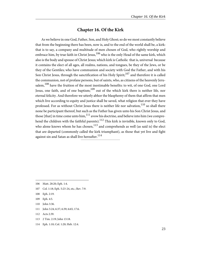## **Chapter 16. Of the Kirk**

<span id="page-27-0"></span>As we believe in one God, Father, Son, and Holy Ghost; so do we most constantly believe that from the beginning there has been, now is, and to the end of the world shall be, a kirk: that is to say, a company and multitude of men chosen of God, who rightly worship and embrace him, by true faith in Christ Jesus,  $106$  who is the only Head of the same kirk, which also is the body and spouse of Christ Jesus; which kirk is Catholic that is, universal because it contains the elect of all ages, all realms, nations, and tongues, be they of the Jews, or be they of the Gentiles; who have communion and society with God the Father, and with his Son Christ Jesus, through the sanctification of his Holy Spirit; $107$  and therefore it is called the communion, not of profane persons, but of saints, who, as citizens of the heavenly Jerusalem,<sup>108</sup> have the fruition of the most inestimable benefits: to wit, of one God, one Lord Jesus, one faith, and of one baptism; $109$  out of the which kirk there is neither life, nor eternal felicity. And therefore we utterly abhor the blasphemy of them that affirm that men which live according to equity and justice shall be saved, what religion that ever they have professed. For as without Christ Jesus there is neither life nor salvation,<sup>110</sup> so shall there none be participant thereof, but such as the Father has given unto his Son Christ Jesus, and those [that] in time come unto him, $^{111}$  avow his doctrine, and believe into him (we comprehend the children with the faithful parents).<sup>112</sup> This kirk is invisible, known only to God, who alone knows whom he has chosen,  $^{113}$  and comprehends as well (as said is) the elect that are departed (commonly called the kirk triumphant), as those that yet live and fight against sin and Satan as shall live hereafter.<sup>114</sup>

111 John 5:24; 6:37; 6:39; 6:65; 17:6.

- 113 2 Tim. 2:19; John 13:18.
- 114 Eph. 1:10; Col. 1:20; Heb. 12:4.

<span id="page-27-9"></span><span id="page-27-8"></span><span id="page-27-7"></span><span id="page-27-2"></span><span id="page-27-1"></span><sup>106</sup> Matt. 28:20; Eph. 1:4.

<span id="page-27-3"></span><sup>107</sup> Col. 1:18; Eph. 5:23-24, etc.; Rev. 7:9.

<span id="page-27-5"></span><sup>108</sup> Eph. 2:19.

<span id="page-27-6"></span><span id="page-27-4"></span><sup>109</sup> Eph. 4:5.

<sup>110</sup> John 3:36.

<sup>112</sup> Acts 2:39.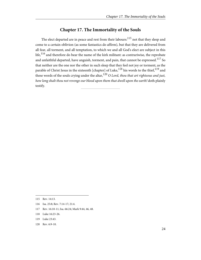## **Chapter 17. The Immortality of the Souls**

<span id="page-28-0"></span>The elect departed are in peace and rest from their labours:<sup>115</sup> not that they sleep and come to a certain oblivion (as some fantastics do affirm), but that they are delivered from all fear, all torment, and all temptation, to which we and all God's elect are subject in this  $l$ ife, $l$ <sup>116</sup> and therefore do bear the name of the kirk militant: as contrariwise, the reprobate and unfaithful departed, have anguish, torment, and pain, that cannot be expressed.<sup>117</sup> So that neither are the one nor the other in such sleep that they feel not joy or torment, as the parable of Christ Jesus in the sixteenth [chapter] of Luke,<sup>118</sup> his words to the thief,<sup>119</sup> and these words of the souls crying under the altar,  $120$  O Lord, thou that art righteous and just, how long shalt thou not revenge our blood upon them that dwell upon the earth! doth plainly testify.

- 117 Rev. 16:10-11; Isa. 66:24; Mark 9:44, 46, 48.
- 118 Luke 16:23-26.
- 119 Luke 23:43.
- 120 Rev. 6:9-10.

<span id="page-28-6"></span><span id="page-28-5"></span><span id="page-28-4"></span><span id="page-28-3"></span><span id="page-28-2"></span><span id="page-28-1"></span><sup>115</sup> Rev. 14:13.

<sup>116</sup> Isa. 25:8; Rev. 7:14-17; 21:4.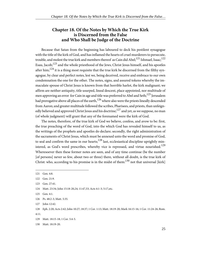#### <span id="page-29-0"></span>**Chapter 18. Of the Notes by Which the True Kirk is Discerned from the False and Who Shall be Judge of the Doctrine**

Because that Satan from the beginning has laboured to deck his pestilent synagogue with the title of the kirk of God, and has inflamed the hearts of cruel murderers to persecute, trouble, and molest the true kirk and members thereof as Cain did Abel;<sup>121</sup> Ishmael, Isaac;<sup>122</sup> Esau, Jacob;<sup>123</sup> and the whole priesthood of the Jews, Christ Jesus himself, and his apostles after him;<sup>124</sup> it is a thing most requisite that the true kirk be discerned from the filthy synagogue, by clear and perfect notes, lest we, being deceived, receive and embrace to our own condemnation the one for the other. The notes, signs, and assured tokens whereby the immaculate spouse of Christ Jesus is known from that horrible harlot, the kirk malignant; we affirm are neither antiquity, title usurped, lineal descent, place appointed, nor multitude of men approving an error for Cain in age and title was preferred to Abel and Seth;<sup>125</sup> Jerusalem had prerogative above all places of the earth,  $126$  where also were the priests lineally descended from Aaron; and greater multitude followed the scribes, Pharisees, and priests, than unfeignedly believed and approved Christ Jesus and his doctrine;<sup>127</sup> and yet, as we suppose, no man (of whole judgment) will grant that any of the forenamed were the kirk of God.

The notes, therefore, of the true kirk of God we believe, confess, and avow to be: first, the true preaching of the word of God, into the which God has revealed himself to us, as the writings of the prophets and apostles do declare; secondly, the right administration of the sacraments of Christ Jesus, which must be annexed unto the word and promise of God, to seal and confirm the same in our hearts;<sup>128</sup> last, ecclesiastical discipline uprightly ministered, as God's word prescribes, whereby vice is repressed, and virtue nourished.<sup>129</sup> Wheresoever then these former notes are seen, and of any time continue (be the number [of persons] never so few, about two or three) there, without all doubt, is the true kirk of Christ: who, according to his promise is in the midst of them:  $130$  not that universal [kirk]

<span id="page-29-8"></span><span id="page-29-6"></span>126 Ps. 48:2-3; Matt. 5:35.

4:11.

<span id="page-29-9"></span><span id="page-29-4"></span><span id="page-29-3"></span><span id="page-29-2"></span><span id="page-29-1"></span><sup>121</sup> Gen. 4:8.

<span id="page-29-5"></span><sup>122</sup> Gen. 21:9.

<span id="page-29-10"></span><sup>123</sup> Gen. 27:41.

<span id="page-29-7"></span><sup>124</sup> Matt. 23:34; John 15:18-20,24; 11:47,53; Acts 4:1-3; 5:17,etc.

<sup>125</sup> Gen. 4:1.

<sup>127</sup> John 12:42.

<sup>128</sup> Eph. 2:20; Acts 2:42; John 10:27; 18:37; 1 Cor. 1:13; Matt. 18:19-20; Mark 16:15-16; 1 Cor. 11:24-26; Rom.

<sup>129</sup> Matt. 18:15-18; 1 Cor. 5:4-5.

<sup>130</sup> Matt. 18:19-20.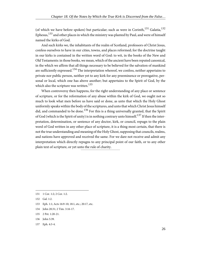(of which we have before spoken) but particular; such as were in Corinth,<sup>131</sup> Galatia,<sup>132</sup> Ephesus,  $^{133}$  and other places in which the ministry was planted by Paul, and were of himself named the kirks of God.

And such kirks we, the inhabitants of the realm of Scotland, professors of Christ Jesus, confess ourselves to have in our cities, towns, and places reformed; for the doctrine taught in our kirks is contained in the written word of God: to wit, in the books of the New and Old Testaments: in those books, we mean, which of the ancient have been reputed canonical, in the which we affirm that all things necessary to be believed for the salvation of mankind are sufficiently expressed.<sup>134</sup> The interpretation whereof, we confess, neither appertains to private nor public person, neither yet to any kirk for any preeminence or prerogative, personal or local, which one has above another; but appertains to the Spirit of God, by the which also the scripture was written.<sup>135</sup>

When controversy then happens, for the right understanding of any place or sentence of scripture, or for the reformation of any abuse within the kirk of God, we ought not so much to look what men before us have said or done, as unto that which the Holy Ghost uniformly speaks within the body of the scriptures, and unto that which Christ Jesus himself did, and commanded to be done.<sup>136</sup> For this is a thing universally granted, that the Spirit of God (which is the Spirit of unity) is in nothing contrary unto himself.<sup>137</sup> If then the interpretation, determination, or sentence of any doctor, kirk, or council, repugn to the plain word of God written in any other place of scripture, it is a thing most certain, that there is not the true understanding and meaning of the Holy Ghost, supposing that councils, realms, and nations have approved and received the same. For we dare not receive and admit any interpretation which directly repugns to any principal point of our faith, or to any other plain text of scripture, or yet unto the rule of charity.

- 134 John 20:31; 2 Tim. 3:16-17.
- 135 2 Pet. 1:20-21.
- 136 John 5:39.
- 137 Eph. 4:3-4.

<span id="page-30-4"></span><span id="page-30-3"></span><span id="page-30-2"></span><span id="page-30-1"></span><sup>131</sup> 1 Cor. 1:2; 2 Cor. 1:2.

<span id="page-30-5"></span><span id="page-30-0"></span><sup>132</sup> Gal. 1:2.

<sup>133</sup> Eph. 1:1; Acts 16:9-10; 18:1, etc.; 20:17, etc.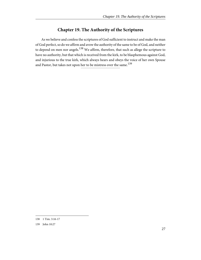## **Chapter 19. The Authority of the Scriptures**

<span id="page-31-0"></span>As we believe and confess the scriptures of God sufficient to instruct and make the man of God perfect, so do we affirm and avow the authority of the same to be of God, and neither to depend on men nor angels.<sup>138</sup> We affirm, therefore, that such as allege the scripture to have no authority, but that which is received from the kirk, to be blasphemous against God, and injurious to the true kirk, which always hears and obeys the voice of her own Spouse and Pastor, but takes not upon her to be mistress over the same.<sup>139</sup>

<span id="page-31-2"></span><span id="page-31-1"></span><sup>138</sup> 1 Tim. 3:16-17

<sup>139</sup> John 10:27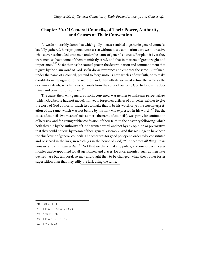#### <span id="page-32-0"></span>**Chapter 20. Of General Councils, of Their Power, Authority, and Causes of Their Convention**

As we do not rashly damn that which godly men, assembled together in general councils, lawfully gathered, have proponed unto us; so without just examination dare we not receive whatsoever is obtruded unto men under the name of general councils. For plain it is, as they were men, so have some of them manifestly erred, and that in matters of great weight and importance.<sup>140</sup> So far then as the council proves the determination and commandment that it gives by the plain word of God, so far do we reverence and embrace the same. But if men, under the name of a council, pretend to forge unto us new articles of our faith, or to make constitutions repugning to the word of God, then utterly we must refuse the same as the doctrine of devils, which draws our souls from the voice of our only God to follow the doctrines and constitutions of men.<sup>141</sup>

The cause, then, why general councils convened, was neither to make any perpetual law (which God before had not made), nor yet to forge new articles of our belief, neither to give the word of God authority much less to make that to be his word, or yet the true interpretation of the same, which was not before by his holy will expressed in his word.<sup>142</sup> But the cause of councils (we mean of such as merit the name of councils), was partly for confutation of heresies, and for giving public confession of their faith to the posterity following: which both they did by the authority of God's written word, and not by any opinion or prerogative that they could not err, by reason of their general assembly. And this we judge to have been the chief cause of general councils. The other was for good policy and order to be constituted and observed in the kirk, in which (as in the house of  $God)^{143}$  it becomes all things to be done decently and into order.<sup>144</sup> Not that we think that any policy, and one order in ceremonies can be appointed for all ages, times, and places: for as ceremonies (such as men have devised) are but temporal, so may and ought they to be changed, when they rather foster superstition than that they edify the kirk using the same.

- 143 1 Tim. 3:15; Heb. 3:2.
- 144 1 Cor. 14:40.

<span id="page-32-5"></span><span id="page-32-4"></span><span id="page-32-3"></span><span id="page-32-2"></span><span id="page-32-1"></span><sup>140</sup> Gal. 2:11-14.

<sup>141</sup> 1 Tim. 4:1-3; Col. 2:18-23.

<sup>142</sup> Acts 15:1, etc.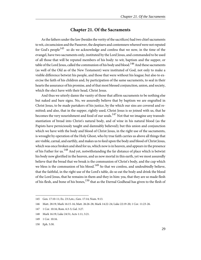#### **Chapter 21. Of the Sacraments**

<span id="page-33-0"></span>As the fathers under the law (besides the verity of the sacrifices) had two chief sacraments to wit, circumcision and the Passover, the despisers and contemners whereof were not reputed for God's people<sup>145</sup> so do we acknowledge and confess that we now, in the time of the evangel, have two sacraments only, instituted by the Lord Jesus, and commanded to be used of all those that will be reputed members of his body: to wit, baptism and the supper, or table of the Lord Jesus, called the communion of his body and blood.<sup>146</sup> And these sacraments (as well of the Old as of the New Testament) were instituted of God, not only to make a visible difference betwixt his people, and those that were without his league; but also to exercise the faith of his children and, by participation of the same sacraments, to seal in their hearts the assurance of his promise, and of that most blessed conjunction, union, and society, which the elect have with their head, Christ Jesus.

And thus we utterly damn the vanity of those that affirm sacraments to be nothing else but naked and bare signs. No, we assuredly believe that by baptism we are engrafted in Christ Jesus, to be made partakers of his justice, by the which our sins are covered and remitted; and also, that in the supper, rightly used, Christ Jesus is so joined with us, that he becomes the very nourishment and food of our souls.<sup>147</sup> Not that we imagine any transubstantiation of bread into Christ's natural body, and of wine in his natural blood (as the Papists have perniciously taught and damnably believed); but this union and conjunction which we have with the body and blood of Christ Jesus, in the right use of the sacraments, is wrought by operation of the Holy Ghost, who by true faith carries us above all things that are visible, carnal, and earthly, and makes us to feed upon the body and blood of Christ Jesus, which was once broken and shed for us, which now is in heaven, and appears in the presence of his Father for us.<sup>148</sup> And yet, notwithstanding the far distance of place which is betwixt his body now glorified in the heaven, and us now mortal in this earth, yet we most assuredly believe that the bread that we break is the communion of Christ's body, and the cup which we bless is the communion of his blood.<sup>149</sup> So that we confess, and undoubtedly believe, that the faithful, in the right use of the Lord's table, do so eat the body and drink the blood of the Lord Jesus, that he remains in them and they in him: yea, that they are so made flesh of his flesh, and bone of his bones,  $150$  that as the Eternal Godhead has given to the flesh of

<span id="page-33-6"></span><span id="page-33-5"></span><span id="page-33-4"></span><span id="page-33-3"></span><span id="page-33-2"></span><span id="page-33-1"></span><sup>145</sup> Gen. 17:10-11; Ex. 23:3,etc.; Gen. 17:14; Num. 9:13.

<sup>146</sup> Matt. 28:19; Mark 16:15-16; Matt. 26:26-28; Mark 14:22-24; Luke 22:19-20; 1 Cor. 11:23-26.

<sup>147</sup> 1 Cor. 10:16; Rom. 6:3-5; Gal. 3:27.

<sup>148</sup> Mark 16:19; Luke 24:51; Acts 1:11; 3:21.

<sup>149</sup> 1 Cor. 10:16.

<sup>150</sup> Eph. 5:30.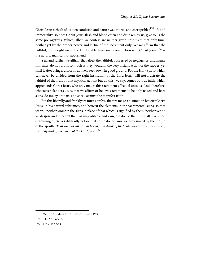Christ Jesus (which of its own condition and nature was mortal and corruptible)<sup>151</sup> life and immortality, so does Christ Jesus' flesh and blood eaten and drunken by us, give to us the same prerogatives. Which, albeit we confess are neither given unto us at that only time, neither yet by the proper power and virtue of the sacrament only; yet we affirm that the faithful, in the right use of the Lord's table, have such conjunction with Christ Jesus,  $^{152}$  as the natural man cannot apprehend.

Yea, and further we affirm, that albeit the faithful, oppressed by negligence, and manly infirmity, do not profit so much as they would in the very instant action of the supper, yet shall it after bring fruit forth, as lively seed sown in good ground. For the Holy Spirit (which can never be divided from the right institution of the Lord Jesus) will not frustrate the faithful of the fruit of that mystical action; but all this, we say, comes by true faith, which apprehends Christ Jesus, who only makes this sacrament effectual unto us. And, therefore, whosoever slanders us, as that we affirm or believe sacraments to be only naked and bare signs, do injury unto us, and speak against the manifest truth.

But this liberally and frankly we must confess, that we make a distinction betwixt Christ Jesus, in his natural substance, and betwixt the elements in the sacramental signs; so that we will neither worship the signs in place of that which is signified by them; neither yet do we despise and interpret them as unprofitable and vain; but do use them with all reverence, examining ourselves diligently before that so we do, because we are assured by the mouth of the apostle, That such as eat of that bread, and drink of that cup, unworthily, are guilty of the body and of the blood of the Lord Jesus.<sup>153</sup>

<span id="page-34-2"></span><span id="page-34-1"></span><span id="page-34-0"></span><sup>151</sup> Matt. 27:50; Mark 15:37; Luke 23:46; John 19:30.

<sup>152</sup> John 6:51; 6:53-58.

<sup>153</sup> 1 Cor. 11:27-29.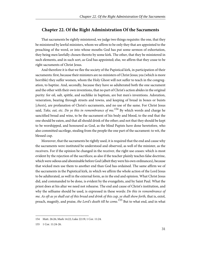#### <span id="page-35-0"></span>**Chapter 22. Of the Right Administration Of the Sacraments**

That sacraments be rightly ministered, we judge two things requisite: the one, that they be ministered by lawful ministers, whom we affirm to be only they that are appointed to the preaching of the word, or into whose mouths God has put some sermon of exhortation, they being men lawfully chosen thereto by some kirk. The other, that they be ministered in such elements, and in such sort, as God has appointed; else, we affirm that they cease to be right sacraments of Christ Jesus.

And therefore it is that we flee the society of the Papistical kirk, in participation of their sacraments: first, because their ministers are no ministers of Christ Jesus; yea (which is more horrible) they suffer women, whom the Holy Ghost will not suffer to teach in the congregation, to baptize. And, secondly, because they have so adulterated both the one sacrament and the other with their own inventions, that no part of Christ's action abides in the original purity: for oil, salt, spittle, and suchlike in baptism, are but men's inventions. Adoration, veneration, bearing through streets and towns, and keeping of bread in boxes or buists [chests], are profanation of Christ's sacraments, and no use of the same. For Christ Jesus said, Take, eat, etc. Do ye this in remembrance of me.<sup>154</sup> By which words and charge he sanctified bread and wine, to be the sacrament of his body and blood, to the end that the one should be eaten, and that all should drink of the other; and not that they should be kept to be worshipped, and honoured as God, as the blind Papists have done heretofore, who also committed sacrilege, stealing from the people the one part of the sacrament: to wit, the blessed cup.

Moreover, that the sacraments be rightly used, it is required that the end and cause why the sacraments were instituted be understood and observed, as well of the minister, as the receivers. For if the opinion be changed in the receiver, the right use ceases: which is most evident by the rejection of the sacrifices; as also if the teacher plainly teaches false doctrine, which were odious and abominable before God (albeit they were his own ordinances), because that wicked men use them to another end than God has ordained. The same affirm we of the sacraments in the Papistical kirk, in which we affirm the whole action of the Lord Jesus to be adulterated, as well in the external form, as in the end and opinion. What Christ Jesus did, and commanded to be done, is evident by the evangelists, and by Saint Paul. What the priest does at his altar we need not rehearse. The end and cause of Christ's institution, and why the selfsame should be used, is expressed in these words: Do this in remembrance of me. As oft as ye shall eat of this bread and drink of this cup, ye shall show forth, that is, extol, preach, magnify, and praise, the Lord's death till he come.<sup>155</sup> But to what end, and in what

<span id="page-35-2"></span><span id="page-35-1"></span><sup>154</sup> Matt. 26:26; Mark 14:22; Luke 22:19; 1 Cor. 11:24.

<sup>155</sup> 1 Cor. 11:24-26.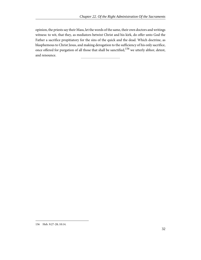opinion, the priests say their Mass, let the words of the same, their own doctors and writings witness: to wit, that they, as mediators betwixt Christ and his kirk, do offer unto God the Father a sacrifice propitiatory for the sins of the quick and the dead. Which doctrine, as blasphemous to Christ Jesus, and making derogation to the sufficiency of his only sacrifice, once offered for purgation of all those that shall be sanctified,<sup>156</sup> we utterly abhor, detest, and renounce.

<span id="page-36-0"></span><sup>156</sup> Heb. 9:27-28; 10:14.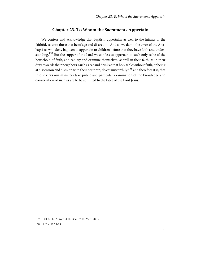## **Chapter 23. To Whom the Sacraments Appertain**

<span id="page-37-0"></span>We confess and acknowledge that baptism appertains as well to the infants of the faithful, as unto those that be of age and discretion. And so we damn the error of the Anabaptists, who deny baptism to appertain to children before that they have faith and understanding.<sup>157</sup> But the supper of the Lord we confess to appertain to such only as be of the household of faith, and can try and examine themselves, as well in their faith, as in their duty towards their neighbors. Such as eat and drink at that holy table without faith, or being at dissension and division with their brethren, do eat unworthily: $^{158}$  and therefore it is, that in our kirks our ministers take public and particular examination of the knowledge and conversation of such as are to be admitted to the table of the Lord Jesus.

<span id="page-37-2"></span><span id="page-37-1"></span><sup>157</sup> Col. 2:11-12; Rom. 4:11; Gen. 17:10; Matt. 28:19.

<sup>158</sup> 1 Cor. 11:28-29.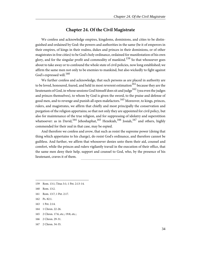#### **Chapter 24. Of the Civil Magistrate**

<span id="page-38-0"></span>We confess and acknowledge empires, kingdoms, dominions, and cities to be distinguished and ordained by God: the powers and authorities in the same (be it of emperors in their empires, of kings in their realms, dukes and princes in their dominions, or of other magistrates in free cities) to be God's holy ordinance, ordained for manifestation of his own glory, and for the singular profit and commodity of mankind.<sup>159</sup> So that whosoever goes about to take away or to confound the whole state of civil policies, now long established; we affirm the same men not only to be enemies to mankind, but also wickedly to fight against God's expressed will.<sup>160</sup>

We further confess and acknowledge, that such persons as are placed in authority are to be loved, honoured, feared, and held in most reverent estimation $161$  because they are the lieutenants of God, in whose sessions God himself does sit and judge<sup>162</sup> (yea even the judges and princes themselves), to whom by God is given the sword, to the praise and defense of good men, and to revenge and punish all open malefactors.<sup>163</sup> Moreover, to kings, princes, rulers, and magistrates, we affirm that chiefly and most principally the conservation and purgation of the religion appertains; so that not only they are appointed for civil policy, but also for maintenance of the true religion, and for suppressing of idolatry and superstition whatsoever: as in David,<sup>164</sup> Jehoshaphat,<sup>165</sup> Hezekiah,<sup>166</sup> Josiah,<sup>167</sup> and others, highly commended for their zeal in that case, may be espied.

And therefore we confess and avow, that such as resist the supreme power (doing that thing which appertains to his charge), do resist God's ordinance, and therefore cannot be guiltless. And further, we affirm that whosoever denies unto them their aid, counsel and comfort, while the princes and rulers vigilantly travail in the execution of their office, that the same men deny their help, support and counsel to God, who, by the presence of his lieutenant, craves it of them.

- 164 1 Chron. 22-26.
- 165 2 Chron. 17:6, etc.; 19:8, etc.;
- 166 2 Chron. 29-31.
- 167 2 Chron. 34-35.

<span id="page-38-9"></span><span id="page-38-8"></span><span id="page-38-7"></span><span id="page-38-6"></span><span id="page-38-5"></span><sup>159</sup> Rom. 13:1; Titus 3:1; 1 Pet. 2:13-14.

<span id="page-38-1"></span><sup>160</sup> Rom. 13:2.

<span id="page-38-2"></span><sup>161</sup> Rom. 13:7; 1 Pet. 2:17.

<span id="page-38-4"></span><span id="page-38-3"></span><sup>162</sup> Ps. 82:1.

<sup>163</sup> 1 Pet. 2:14.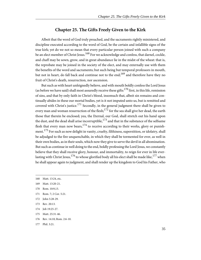#### **Chapter 25. The Gifts Freely Given to the Kirk**

<span id="page-39-0"></span>Albeit that the word of God truly preached, and the sacraments rightly ministered, and discipline executed according to the word of God, be the certain and infallible signs of the true kirk; yet do we not so mean that every particular person joined with such a company be an elect member of Christ Jesus.<sup>168</sup> For we acknowledge and confess, that darnel, cockle, and chaff may be sown, grow, and in great abundance lie in the midst of the wheat: that is, the reprobate may be joined in the society of the elect, and may externally use with them the benefits of the word and sacraments; but such being but temporal professors in mouth, but not in heart, do fall back and continue not to the end;<sup>169</sup> and therefore have they no fruit of Christ's death, resurrection, nor ascension.

But such as with heart unfeignedly believe, and with mouth boldly confess the Lord Jesus (as before we have said) shall most assuredly receive these gifts:  $170$  first, in this life, remission of sins, and that by only faith in Christ's blood, insomuch that, albeit sin remains and continually abides in these our mortal bodies, yet is it not imputed unto us, but is remitted and covered with Christ's justice.<sup>171</sup> Secondly, in the general judgment there shall be given to every man and woman resurrection of the flesh; $^{172}$  for the sea shall give her dead, the earth those that therein be enclosed; yea, the Eternal, our God, shall stretch out his hand upon the dust, and the dead shall arise incorruptible,  $^{173}$  and that in the substance of the selfsame flesh that every man now bears,  $174$  to receive according to their works, glory or punishment.<sup>175</sup> For such as now delight in vanity, cruelty, filthiness, superstition, or idolatry, shall be adjudged to the fire unquenchable, in which they shall be tormented for ever, as well in their own bodies, as in their souls, which now they give to serve the devil in all abomination. But such as continue in well doing to the end, boldly professing the Lord Jesus, we constantly believe that they shall receive glory, honour, and immortality, to reign for ever in life everlasting with Christ Jesus, <sup>176</sup> to whose glorified body all his elect shall be made like, <sup>177</sup> when he shall appear again to judgment, and shall render up the kingdom to God his Father, who

- <span id="page-39-4"></span>171 Rom. 7; 2 Cor. 5:21.
- <span id="page-39-9"></span><span id="page-39-6"></span>172 John 5:28-29.
- 173 Rev. 20:13.
- 174 **Job 19:25-27.**
- 175 Matt. 25:31-46.
- 176 Rev. 14:10; Rom. 2:6-10.
- 177 Phil. 3:21.

<span id="page-39-8"></span><span id="page-39-7"></span><span id="page-39-5"></span><span id="page-39-3"></span><span id="page-39-2"></span><sup>168</sup> Matt. 13:24, etc.

<span id="page-39-10"></span><sup>169</sup> Matt. 13:20-21.

<span id="page-39-1"></span><sup>170</sup> Rom. 10:9,13.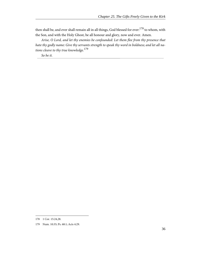then shall be, and ever shall remain all in all things, God blessed for ever: $^{178}$  to whom, with the Son, and with the Holy Ghost, be all honour and glory, now and ever. Amen.

Arise, O Lord, and let thy enemies be confounded: Let them flee from thy presence that hate thy godly name: Give thy servants strength to speak thy word in boldness; and let all nations cleave to thy true knowledge.<sup>179</sup>

So be it.

<span id="page-40-1"></span><span id="page-40-0"></span><sup>178</sup> 1 Cor. 15:24,28.

<sup>179</sup> Num. 10:35; Ps. 68:1; Acts 4:29.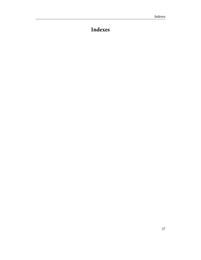# <span id="page-41-0"></span>**Indexes**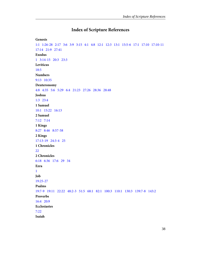## **Index of Scripture References**

#### <span id="page-42-0"></span>**Genesis**

```
1:1   1:26-28   2:17   3:6   3:9   3:15   4:1   4:8   12:1   12:3   13:1   15:5-6   17:1   17:10   17:10-11  
17:14   21:9   27:41  
Exodus
1   3:14-15   20:3   23:3  
Leviticus
18:5  
Numbers
9:13   10:35  
Deuteronomy
4:8   4:35   5:6   5:29   6:4   21:23   27:26   28:36   28:48  
Joshua
1:3   23:4  
1 Samuel
10:1   15:22   16:13  
2 Samuel
7:12   7:14  
1 Kings
8:27   8:46   8:57-58  
2 Kings
17:13-19   24:3-4   25  
1 Chronicles
22  
2 Chronicles
6:18   6:36   17:6   29   34  
Ezra
1  
Job
19:25-27  
Psalms
19:7-9   19:11   22:22   48:2-3   51:5   68:1   82:1   100:3   110:1   130:3   139:7-8   143:2  
Proverbs
16:4   20:9  
Ecclesiastes
7:22  
Isaiah
```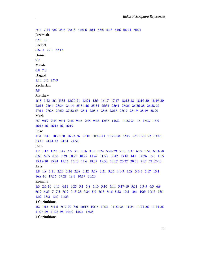[7:14](#page-13-3) [7:14](#page-21-2) [9:6](#page-13-3)   [25:8](#page-28-1)   [29:13](#page-25-0)   [44:5-6](#page-10-3)   [50:1](#page-24-3)   [53:5](#page-19-2) [53:8](#page-17-3) [64:6](#page-26-5) [66:24](#page-21-3) [66:24](#page-28-2) **Jeremiah** [22:3](#page-24-3) [30](#page-14-10) **Ezekiel** [6:6-14](#page-14-11)   [22:1](#page-24-3) [22:13](#page-24-4) **Daniel** [9:2](#page-14-12) **Micah** [6:8](#page-24-5) [7:8](#page-22-1)  **Haggai** [1:14](#page-14-10) [2:6](#page-13-3)   [2:7-9](#page-14-10)  **Zechariah** [3:8](#page-14-10) **Matthew** [1:18](#page-15-1) [1:23](#page-15-1) [2:1](#page-15-1)  [5:35](#page-29-5) [13:20-21](#page-39-2)   [13:24](#page-39-3)   [15:9](#page-25-1) [16:17](#page-22-3)   [17:17](#page-22-1)  [18:15-18](#page-29-6)  [18:19-20](#page-29-7)   [18:19-20](#page-29-8) [22:13](#page-21-3)   [22:44](#page-21-1)   [23:34](#page-29-9)   [24:14](#page-8-1)   [25:31-46](#page-39-4)   [25:34](#page-17-4)   [25:34](#page-21-4)   [25:41](#page-21-3)   [26:26](#page-35-1)  [26:26-28](#page-33-2)   [26:38-39](#page-19-3) [27:11](#page-19-4)   [27:26](#page-19-4)   [27:50](#page-34-0)   [27:52-53](#page-20-1)  [28:4](#page-20-2) [28:5-6](#page-20-3) [28:6](#page-21-5) [28:18](#page-21-6) [28:19](#page-10-4) [28:19](#page-33-2)   [28:19](#page-37-1)   [28:20](#page-27-1)  **Mark** [7:7](#page-25-1) [9:19](#page-22-1)   [9:44](#page-21-3)   [9:44](#page-28-2)   [9:46](#page-21-3) [9:46](#page-28-2) [9:48](#page-21-3) [9:48](#page-28-2)   [12:36](#page-21-1) [14:22](#page-35-1) [14:22-24](#page-33-2)   [15](#page-19-4)   [15:37](#page-34-0)   [16:9](#page-21-5)  [16:15-16](#page-29-7) [16:15-16](#page-33-2)   [16:19](#page-33-3)  **Luke** [1:31](#page-15-1) [9:41](#page-22-1) [10:27-28](#page-24-5)   [16:23-26](#page-28-3) [17:10](#page-26-6) [20:42-43](#page-21-1) [21:27-28](#page-21-7)   [22:19](#page-35-1)   [22:19-20](#page-33-2) [23](#page-19-4) [23:43](#page-28-4)  [23:46](#page-34-0)   [24:41-43](#page-20-4) [24:51](#page-21-5) [24:51](#page-33-3)  **John** [1:2](#page-18-0)  [1:12](#page-17-5)   [1:29](#page-19-5) [1:45](#page-15-1)  [3:5](#page-12-2)  [3:5](#page-22-4)   [3:16](#page-18-0)   [3:36](#page-27-2) [5:24](#page-27-3)   [5:28-29](#page-39-5) [5:39](#page-30-0)   [6:37](#page-27-3)  [6:39](#page-27-3)  [6:51](#page-34-1)   [6:53-58](#page-34-1) [6:63](#page-22-1) [6:65](#page-27-3) [8:56](#page-13-3)  [9:39](#page-22-1)   [10:27](#page-29-7)   [10:27](#page-31-1) [11:47](#page-29-9) [11:53](#page-29-9) [12:42](#page-29-10) [13:18](#page-27-4) [14:1](#page-21-7) [14:26](#page-22-3) [15:5](#page-23-1) [15:5](#page-23-2) [15:18-20](#page-29-9) [15:24](#page-29-9) [15:26](#page-22-3) [16:13](#page-22-3)  [17:6](#page-27-3) [18:37](#page-29-7) [19:30](#page-34-0)   [20:17](#page-17-6)   [20:27](#page-20-4)   [20:31](#page-30-1)   [21:7](#page-20-4)   [21:12-13](#page-20-4) **Acts** [1:8](#page-21-8) [1:9](#page-21-5)   [1:11](#page-33-3)  [2:24](#page-20-5) [2:24](#page-17-7) [2:39](#page-27-5)   [2:42](#page-29-7)   [3:19](#page-21-9)   [3:21](#page-33-3) [3:26](#page-20-6) [4:1-3](#page-29-9) [4:29](#page-40-0)   [5:3-4](#page-22-5)   [5:17](#page-29-9)   [15:1](#page-32-1) [16:9-10](#page-30-2)   [17:26](#page-17-8)   [17:28](#page-10-1) [18:1](#page-30-2)   [20:17](#page-30-2) [20:20](#page-18-0) **Romans** [1:3](#page-15-1) [2:6-10](#page-39-6) [4:11](#page-29-7)   [4:11](#page-37-1)   [4:25](#page-20-6)   [5:1](#page-12-2) [5:8](#page-22-4)   [5:10](#page-12-1)   [5:10](#page-22-6) [5:14](#page-12-2) [5:17-19](#page-17-9)   [5:21](#page-12-2) [6:3-5](#page-33-4) [6:5](#page-20-6)   [6:9](#page-20-6) [6:12](#page-23-3)  [6:23](#page-12-2)  [7](#page-39-7)   [7:5](#page-12-1)  [7:12](#page-26-1)  [7:15-25](#page-23-4)   [7:24](#page-23-5)  [8:9](#page-23-1)   [8:15](#page-17-10)  [8:16](#page-23-6)  [8:22](#page-23-5)  [10:3](#page-26-2)  [10:4](#page-26-3) [10:9](#page-39-8)   [10:13](#page-39-8)  [13:1](#page-38-6) [13:2](#page-24-6) [13:2](#page-38-7) [13:7](#page-38-8) [14:23](#page-24-7) **1 Corinthians** [1:2](#page-30-3) [1:13](#page-29-7)   [5:4-5](#page-29-6)   [6:19-20](#page-24-3)   [8:6](#page-10-3)   [10:16](#page-33-4)   [10:16](#page-33-5)   [10:31](#page-24-2)   [11:23-26](#page-33-2) [11:24](#page-35-1)   [11:24-26](#page-29-7) [11:24-26](#page-35-2)  [11:27-29](#page-34-2) [11:28-29](#page-37-2)   [14:40](#page-32-2)   [15:24](#page-40-1)   [15:28](#page-40-1)

**2 Corinthians**